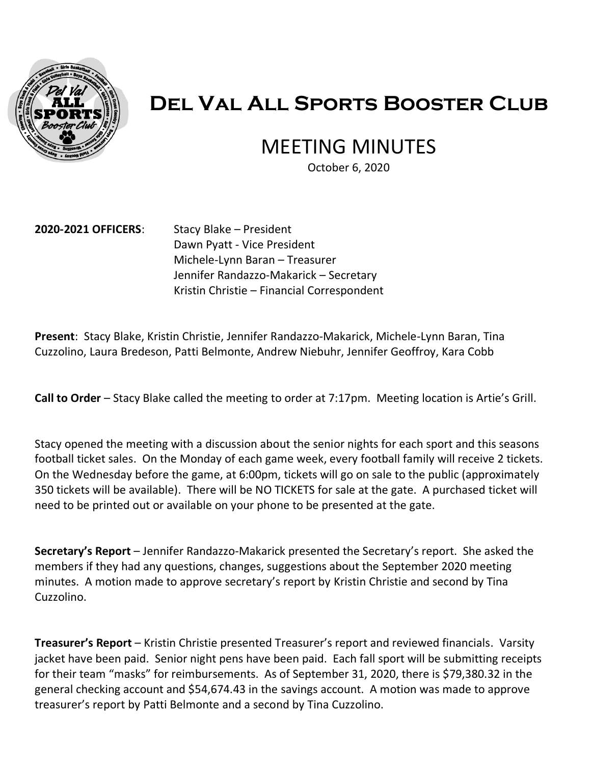

# **Del Val All Sports Booster Club**

# MEETING MINUTES

October 6, 2020

#### **2020-2021 OFFICERS**: Stacy Blake – President

Dawn Pyatt - Vice President Michele-Lynn Baran – Treasurer Jennifer Randazzo-Makarick – Secretary Kristin Christie – Financial Correspondent

**Present**: Stacy Blake, Kristin Christie, Jennifer Randazzo-Makarick, Michele-Lynn Baran, Tina Cuzzolino, Laura Bredeson, Patti Belmonte, Andrew Niebuhr, Jennifer Geoffroy, Kara Cobb

**Call to Order** – Stacy Blake called the meeting to order at 7:17pm. Meeting location is Artie's Grill.

Stacy opened the meeting with a discussion about the senior nights for each sport and this seasons football ticket sales. On the Monday of each game week, every football family will receive 2 tickets. On the Wednesday before the game, at 6:00pm, tickets will go on sale to the public (approximately 350 tickets will be available). There will be NO TICKETS for sale at the gate. A purchased ticket will need to be printed out or available on your phone to be presented at the gate.

**Secretary's Report** – Jennifer Randazzo-Makarick presented the Secretary's report. She asked the members if they had any questions, changes, suggestions about the September 2020 meeting minutes. A motion made to approve secretary's report by Kristin Christie and second by Tina Cuzzolino.

**Treasurer's Report** – Kristin Christie presented Treasurer's report and reviewed financials. Varsity jacket have been paid. Senior night pens have been paid. Each fall sport will be submitting receipts for their team "masks" for reimbursements. As of September 31, 2020, there is \$79,380.32 in the general checking account and \$54,674.43 in the savings account. A motion was made to approve treasurer's report by Patti Belmonte and a second by Tina Cuzzolino.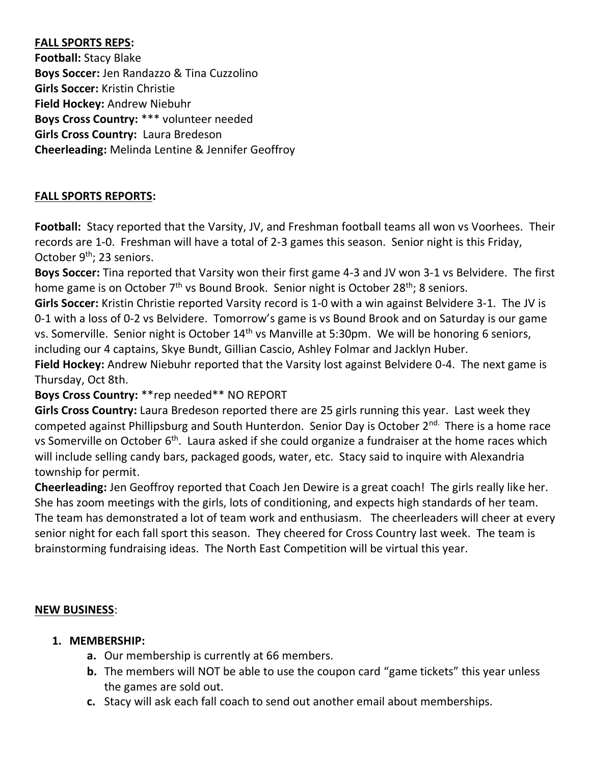# **FALL SPORTS REPS:**

**Football:** Stacy Blake **Boys Soccer:** Jen Randazzo & Tina Cuzzolino **Girls Soccer:** Kristin Christie **Field Hockey:** Andrew Niebuhr **Boys Cross Country:** \*\*\* volunteer needed **Girls Cross Country:** Laura Bredeson **Cheerleading:** Melinda Lentine & Jennifer Geoffroy

# **FALL SPORTS REPORTS:**

**Football:** Stacy reported that the Varsity, JV, and Freshman football teams all won vs Voorhees. Their records are 1-0. Freshman will have a total of 2-3 games this season. Senior night is this Friday, October 9<sup>th</sup>: 23 seniors.

**Boys Soccer:** Tina reported that Varsity won their first game 4-3 and JV won 3-1 vs Belvidere. The first home game is on October  $7<sup>th</sup>$  vs Bound Brook. Senior night is October 28<sup>th</sup>; 8 seniors.

**Girls Soccer:** Kristin Christie reported Varsity record is 1-0 with a win against Belvidere 3-1. The JV is 0-1 with a loss of 0-2 vs Belvidere. Tomorrow's game is vs Bound Brook and on Saturday is our game vs. Somerville. Senior night is October 14<sup>th</sup> vs Manville at 5:30pm. We will be honoring 6 seniors, including our 4 captains, Skye Bundt, Gillian Cascio, Ashley Folmar and Jacklyn Huber.

**Field Hockey:** Andrew Niebuhr reported that the Varsity lost against Belvidere 0-4. The next game is Thursday, Oct 8th.

#### **Boys Cross Country:** \*\*rep needed\*\* NO REPORT

**Girls Cross Country:** Laura Bredeson reported there are 25 girls running this year. Last week they competed against Phillipsburg and South Hunterdon. Senior Day is October 2<sup>nd.</sup> There is a home race vs Somerville on October 6<sup>th</sup>. Laura asked if she could organize a fundraiser at the home races which will include selling candy bars, packaged goods, water, etc. Stacy said to inquire with Alexandria township for permit.

**Cheerleading:** Jen Geoffroy reported that Coach Jen Dewire is a great coach! The girls really like her. She has zoom meetings with the girls, lots of conditioning, and expects high standards of her team. The team has demonstrated a lot of team work and enthusiasm. The cheerleaders will cheer at every senior night for each fall sport this season. They cheered for Cross Country last week. The team is brainstorming fundraising ideas. The North East Competition will be virtual this year.

#### **NEW BUSINESS**:

#### **1. MEMBERSHIP:**

- **a.** Our membership is currently at 66 members.
- **b.** The members will NOT be able to use the coupon card "game tickets" this year unless the games are sold out.
- **c.** Stacy will ask each fall coach to send out another email about memberships.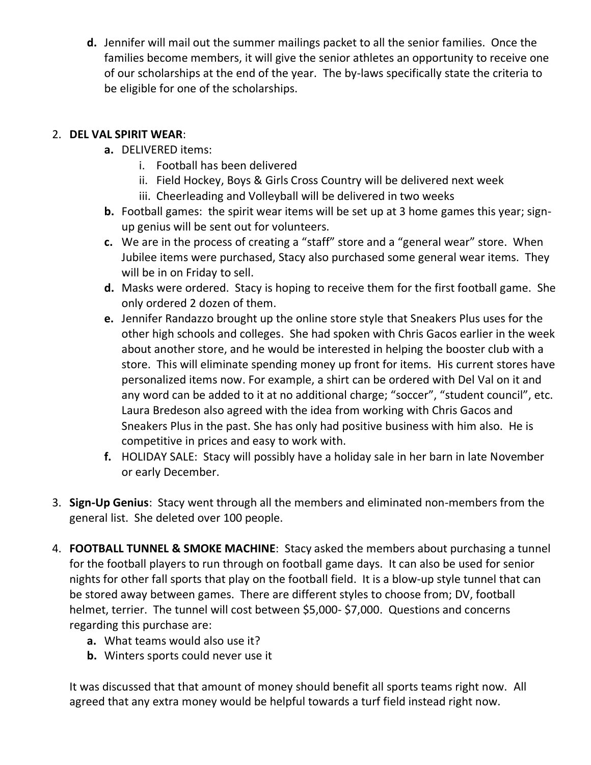**d.** Jennifer will mail out the summer mailings packet to all the senior families. Once the families become members, it will give the senior athletes an opportunity to receive one of our scholarships at the end of the year. The by-laws specifically state the criteria to be eligible for one of the scholarships.

# 2. **DEL VAL SPIRIT WEAR**:

- **a.** DELIVERED items:
	- i. Football has been delivered
	- ii. Field Hockey, Boys & Girls Cross Country will be delivered next week
	- iii. Cheerleading and Volleyball will be delivered in two weeks
- **b.** Football games: the spirit wear items will be set up at 3 home games this year; signup genius will be sent out for volunteers.
- **c.** We are in the process of creating a "staff" store and a "general wear" store. When Jubilee items were purchased, Stacy also purchased some general wear items. They will be in on Friday to sell.
- **d.** Masks were ordered. Stacy is hoping to receive them for the first football game. She only ordered 2 dozen of them.
- **e.** Jennifer Randazzo brought up the online store style that Sneakers Plus uses for the other high schools and colleges. She had spoken with Chris Gacos earlier in the week about another store, and he would be interested in helping the booster club with a store. This will eliminate spending money up front for items. His current stores have personalized items now. For example, a shirt can be ordered with Del Val on it and any word can be added to it at no additional charge; "soccer", "student council", etc. Laura Bredeson also agreed with the idea from working with Chris Gacos and Sneakers Plus in the past. She has only had positive business with him also. He is competitive in prices and easy to work with.
- **f.** HOLIDAY SALE: Stacy will possibly have a holiday sale in her barn in late November or early December.
- 3. **Sign-Up Genius**: Stacy went through all the members and eliminated non-members from the general list. She deleted over 100 people.
- 4. **FOOTBALL TUNNEL & SMOKE MACHINE**: Stacy asked the members about purchasing a tunnel for the football players to run through on football game days. It can also be used for senior nights for other fall sports that play on the football field. It is a blow-up style tunnel that can be stored away between games. There are different styles to choose from; DV, football helmet, terrier. The tunnel will cost between \$5,000- \$7,000. Questions and concerns regarding this purchase are:
	- **a.** What teams would also use it?
	- **b.** Winters sports could never use it

It was discussed that that amount of money should benefit all sports teams right now. All agreed that any extra money would be helpful towards a turf field instead right now.